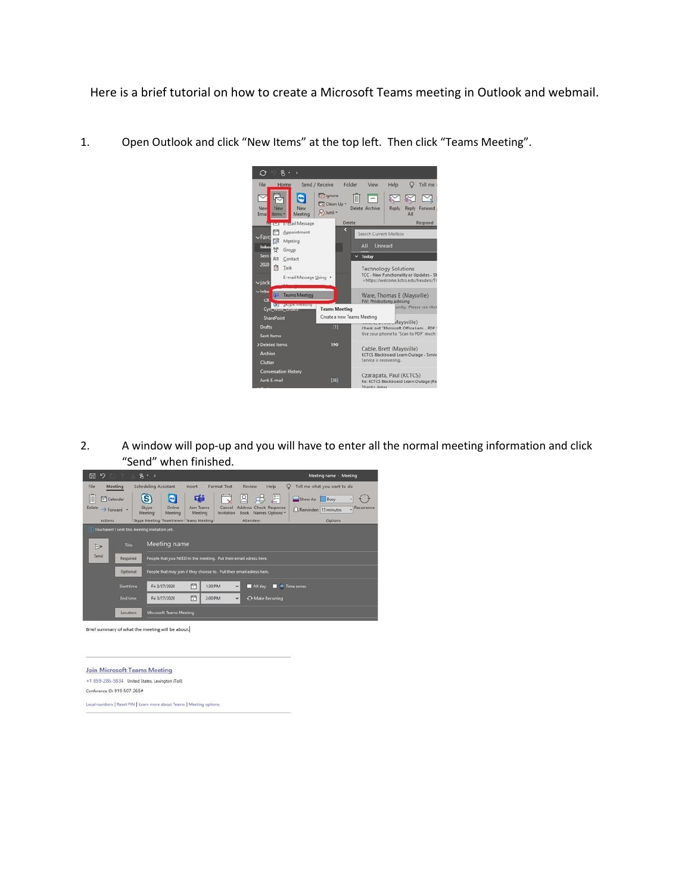Here is a brief tutorial on how to create a Microsoft Teams meeting in Outlook and webmail.



1. Open Outlook and click "New Items" at the top left. Then click "Teams Meeting".

2. A window will pop-up and you will have to enter all the normal meeting information and click "Send" when finished.



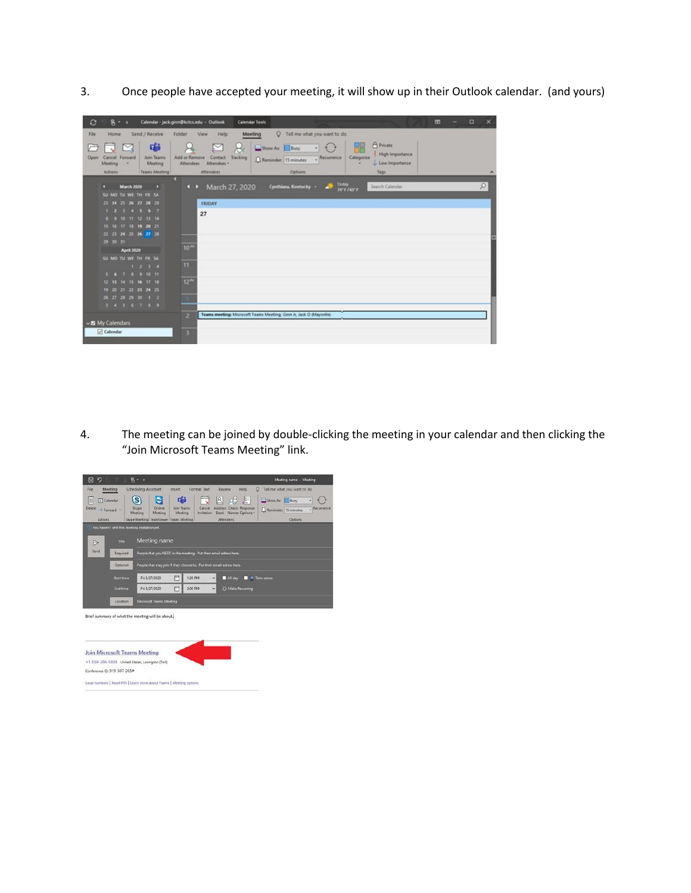3. Once people have accepted your meeting, it will show up in their Outlook calendar. (and yours)



4. The meeting can be joined by double-clicking the meeting in your calendar and then clicking the "Join Microsoft Teams Meeting" link.

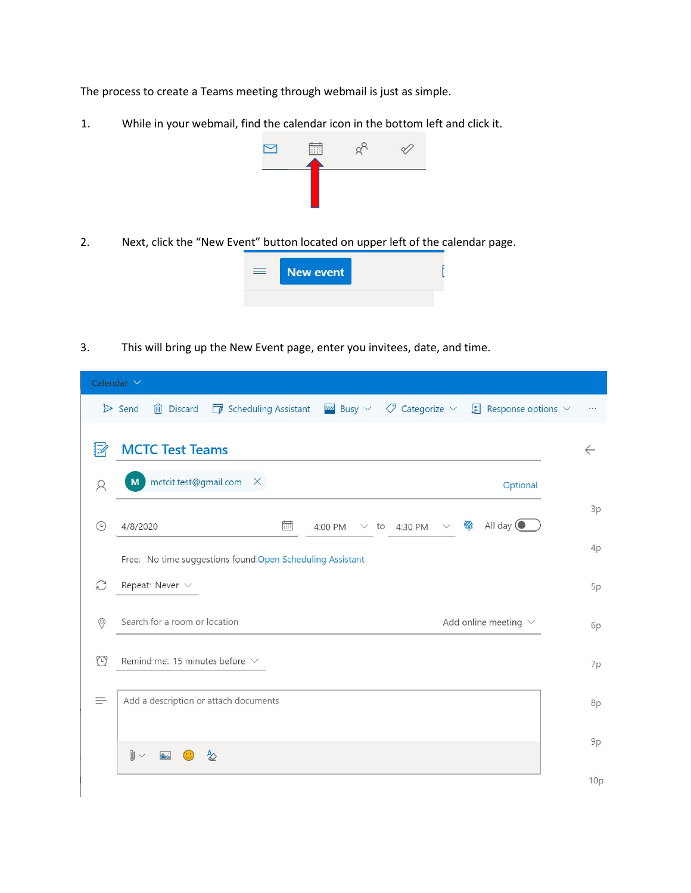The process to create a Teams meeting through webmail is just as simple.

1. While in your webmail, find the calendar icon in the bottom left and click it.



2. Next, click the "New Event" button located on upper left of the calendar page.



3. This will bring up the New Event page, enter you invitees, date, and time.

| Calendar V     |                                                                                                                                                          |              |  |
|----------------|----------------------------------------------------------------------------------------------------------------------------------------------------------|--------------|--|
|                | <b>iii</b> Discard $\Box$ Scheduling Assistant <b>z</b> Busy $\lor$ $\Diamond$ Categorize $\lor$ $\Box$ Response options $\lor$<br>$\triangleright$ Send |              |  |
| $\mathbb{E}$   | <b>MCTC Test Teams</b>                                                                                                                                   | $\leftarrow$ |  |
| $\beta$        | mctcit.test@gmail.com X<br>M<br>Optional                                                                                                                 |              |  |
| ⊙              | All day $\bigcirc$<br>Ģ<br>酾<br>4/8/2020<br>4:00 PM<br>$\times$ to 4:30 PM<br>$\vee$                                                                     | 3p           |  |
|                | Free: No time suggestions found.Open Scheduling Assistant                                                                                                | 4p           |  |
| $\mathcal{C}$  | Repeat: Never $\vee$                                                                                                                                     | 5p           |  |
| $\circledcirc$ | Search for a room or location<br>Add online meeting $\vee$                                                                                               | 6p           |  |
| $\bigcirc$     | Remind me: 15 minutes before $\vee$                                                                                                                      | 7p           |  |
| $\equiv$       | Add a description or attach documents                                                                                                                    | 8p           |  |
|                | $\mathbb{I} \smallsetminus$<br>$\overline{\triangle}$<br>չ                                                                                               | 9p           |  |
|                |                                                                                                                                                          | 10p          |  |